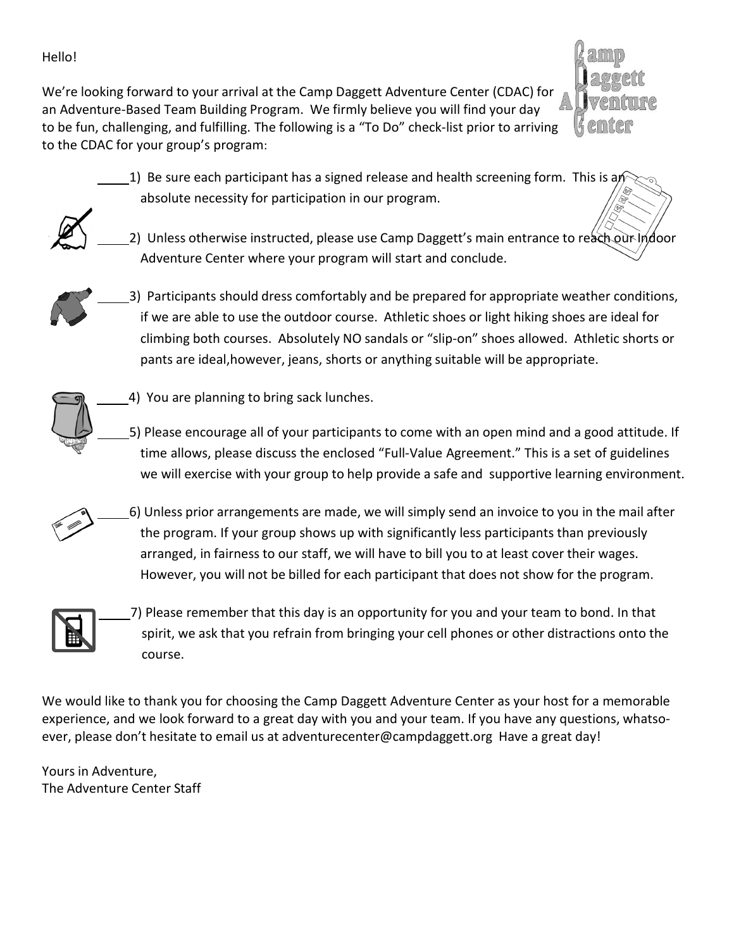### Hello!

We're looking forward to your arrival at the Camp Daggett Adventure Center (CDAC) for an Adventure-Based Team Building Program. We firmly believe you will find your day to be fun, challenging, and fulfilling. The following is a "To Do" check-list prior to arriving to the CDAC for your group's program:



 $\pm$ 1) Be sure each participant has a signed release and health screening form. This is an absolute necessity for participation in our program.



2) Unless otherwise instructed, please use Camp Daggett's main entrance to reach our Indoor Adventure Center where your program will start and conclude.

 3) Participants should dress comfortably and be prepared for appropriate weather conditions, if we are able to use the outdoor course. Athletic shoes or light hiking shoes are ideal for climbing both courses. Absolutely NO sandals or "slip-on" shoes allowed. Athletic shorts or pants are ideal,however, jeans, shorts or anything suitable will be appropriate.



 5) Please encourage all of your participants to come with an open mind and a good attitude. If time allows, please discuss the enclosed "Full-Value Agreement." This is a set of guidelines we will exercise with your group to help provide a safe and supportive learning environment.

 6) Unless prior arrangements are made, we will simply send an invoice to you in the mail after the program. If your group shows up with significantly less participants than previously arranged, in fairness to our staff, we will have to bill you to at least cover their wages. However, you will not be billed for each participant that does not show for the program.



 7) Please remember that this day is an opportunity for you and your team to bond. In that spirit, we ask that you refrain from bringing your cell phones or other distractions onto the course.

We would like to thank you for choosing the Camp Daggett Adventure Center as your host for a memorable experience, and we look forward to a great day with you and your team. If you have any questions, whatsoever, please don't hesitate to email us at [adventurecenter@campdaggett.org](mailto:adventurecenter@campdaggett.org) Have a great day!

Yours in Adventure, The Adventure Center Staff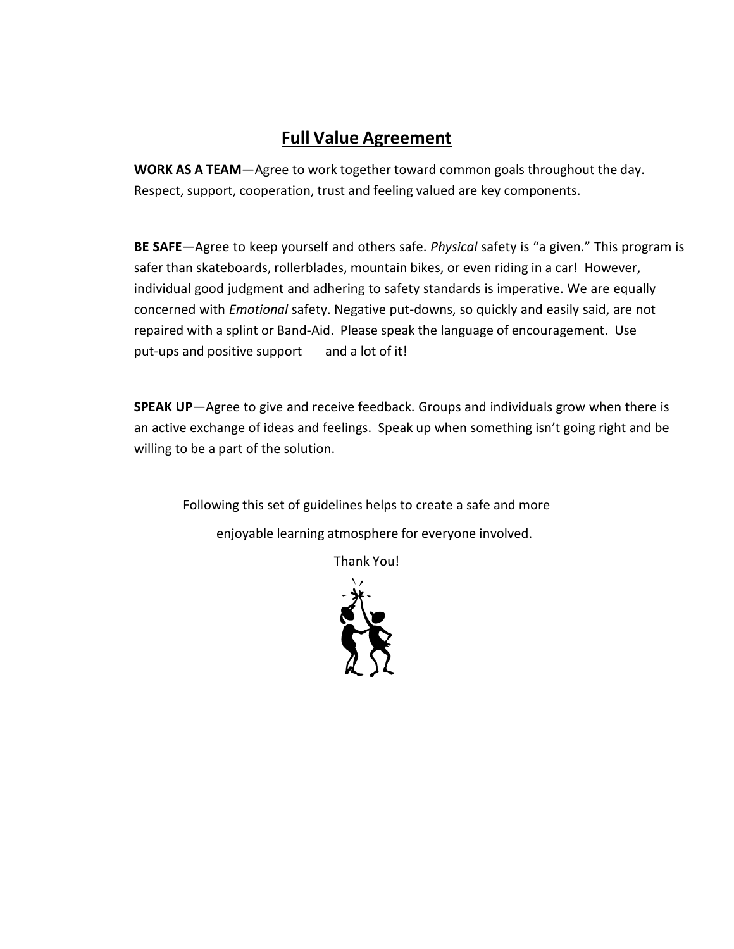# **Full Value Agreement**

**WORK AS A TEAM**—Agree to work together toward common goals throughout the day. Respect, support, cooperation, trust and feeling valued are key components.

**BE SAFE**—Agree to keep yourself and others safe. *Physical* safety is "a given." This program is safer than skateboards, rollerblades, mountain bikes, or even riding in a car! However, individual good judgment and adhering to safety standards is imperative. We are equally concerned with *Emotional* safety. Negative put-downs, so quickly and easily said, are not repaired with a splint or Band-Aid. Please speak the language of encouragement. Use put-ups and positive support and a lot of it!

**SPEAK UP**—Agree to give and receive feedback. Groups and individuals grow when there is an active exchange of ideas and feelings. Speak up when something isn't going right and be willing to be a part of the solution.

Following this set of guidelines helps to create a safe and more enjoyable learning atmosphere for everyone involved.

Thank You!